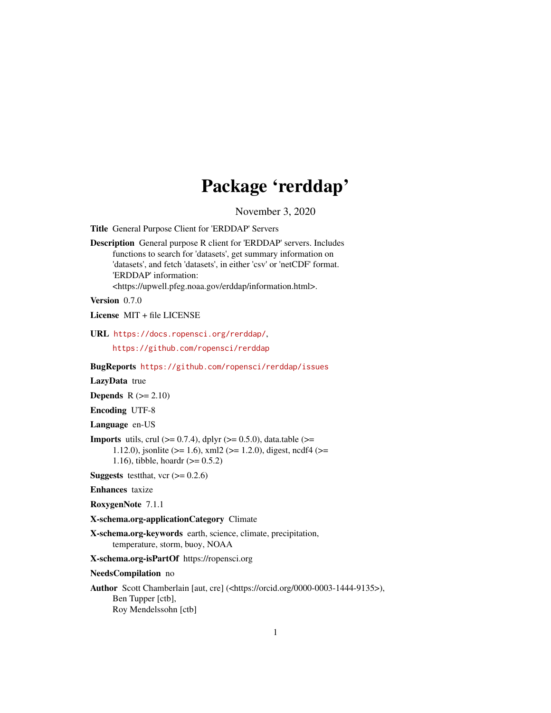# Package 'rerddap'

November 3, 2020

<span id="page-0-0"></span>Title General Purpose Client for 'ERDDAP' Servers

Description General purpose R client for 'ERDDAP' servers. Includes functions to search for 'datasets', get summary information on 'datasets', and fetch 'datasets', in either 'csv' or 'netCDF' format. 'ERDDAP' information: <https://upwell.pfeg.noaa.gov/erddap/information.html>.

Version 0.7.0

License MIT + file LICENSE

URL <https://docs.ropensci.org/rerddap/>,

<https://github.com/ropensci/rerddap>

BugReports <https://github.com/ropensci/rerddap/issues>

LazyData true

**Depends**  $R$  ( $>= 2.10$ )

Encoding UTF-8

Language en-US

**Imports** utils, crul  $(>= 0.7.4)$ , dplyr  $(>= 0.5.0)$ , data.table  $(>= 0.5.0)$ 1.12.0), jsonlite ( $>= 1.6$ ), xml2 ( $>= 1.2.0$ ), digest, ncdf4 ( $>=$ 1.16), tibble, hoardr  $(>= 0.5.2)$ 

**Suggests** test that, vcr  $(>= 0.2.6)$ 

Enhances taxize

RoxygenNote 7.1.1

X-schema.org-applicationCategory Climate

X-schema.org-keywords earth, science, climate, precipitation, temperature, storm, buoy, NOAA

X-schema.org-isPartOf https://ropensci.org

NeedsCompilation no

Author Scott Chamberlain [aut, cre] (<https://orcid.org/0000-0003-1444-9135>), Ben Tupper [ctb], Roy Mendelssohn [ctb]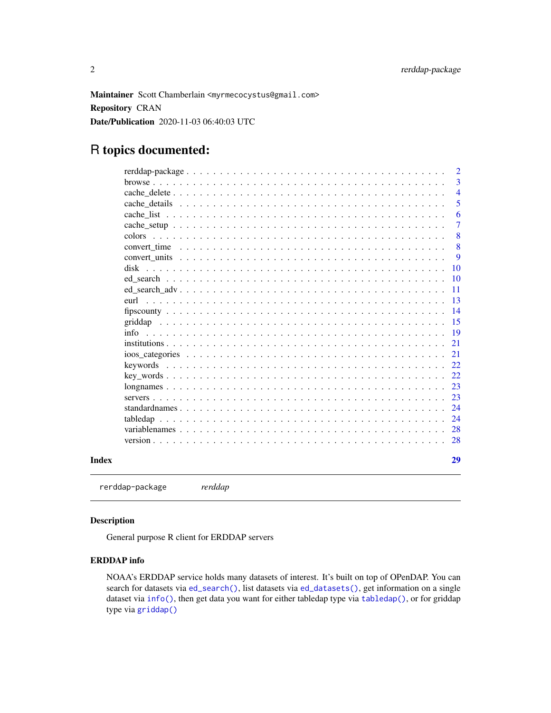<span id="page-1-0"></span>Maintainer Scott Chamberlain <myrmecocystus@gmail.com> Repository CRAN Date/Publication 2020-11-03 06:40:03 UTC

# R topics documented:

|       |                                                                                                              | $\overline{2}$  |
|-------|--------------------------------------------------------------------------------------------------------------|-----------------|
|       |                                                                                                              | 3               |
|       |                                                                                                              | $\overline{4}$  |
|       |                                                                                                              | 5               |
|       |                                                                                                              | 6               |
|       |                                                                                                              | 7               |
|       |                                                                                                              | 8               |
|       |                                                                                                              | 8               |
|       |                                                                                                              | 9               |
|       |                                                                                                              | 10              |
|       |                                                                                                              | $\overline{10}$ |
|       |                                                                                                              | -11             |
|       | eurl                                                                                                         | -13             |
|       |                                                                                                              | 14              |
|       |                                                                                                              | -15             |
|       |                                                                                                              | -19             |
|       |                                                                                                              | 21              |
|       | ioos categories $\ldots \ldots \ldots \ldots \ldots \ldots \ldots \ldots \ldots \ldots \ldots \ldots \ldots$ | 21              |
|       |                                                                                                              | 22              |
|       |                                                                                                              | 22              |
|       |                                                                                                              | 23              |
|       |                                                                                                              | 23              |
|       |                                                                                                              | 24              |
|       | tabledap                                                                                                     |                 |
|       |                                                                                                              |                 |
|       |                                                                                                              | <sup>28</sup>   |
|       |                                                                                                              |                 |
| Index |                                                                                                              | 29              |
|       |                                                                                                              |                 |

rerddap-package *rerddap*

#### Description

General purpose R client for ERDDAP servers

# ERDDAP info

NOAA's ERDDAP service holds many datasets of interest. It's built on top of OPenDAP. You can search for datasets via [ed\\_search\(\)](#page-9-1), list datasets via [ed\\_datasets\(\)](#page-9-2), get information on a single dataset via [info\(\)](#page-18-1), then get data you want for either tabledap type via [tabledap\(\)](#page-23-1), or for griddap type via [griddap\(\)](#page-14-1)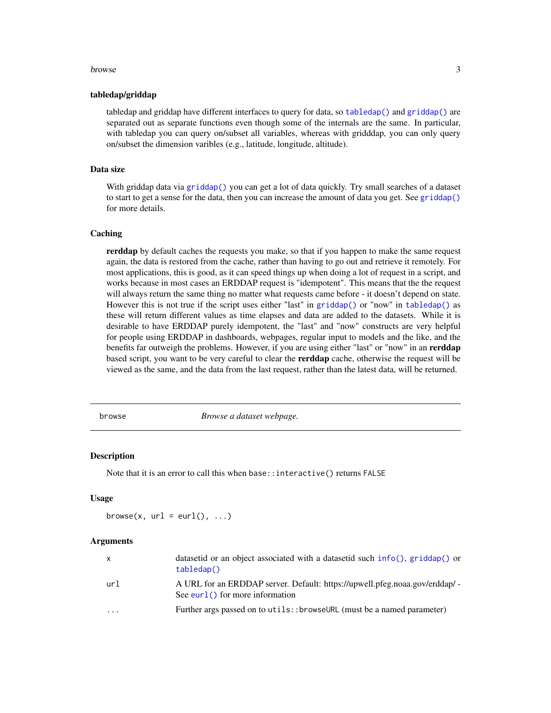#### <span id="page-2-0"></span>browse 3

#### tabledap/griddap

tabledap and griddap have different interfaces to query for data, so [tabledap\(\)](#page-23-1) and [griddap\(\)](#page-14-1) are separated out as separate functions even though some of the internals are the same. In particular, with tabledap you can query on/subset all variables, whereas with gridddap, you can only query on/subset the dimension varibles (e.g., latitude, longitude, altitude).

#### Data size

With griddap data via [griddap\(\)](#page-14-1) you can get a lot of data quickly. Try small searches of a dataset to start to get a sense for the data, then you can increase the amount of data you get. See [griddap\(\)](#page-14-1) for more details.

#### Caching

rerddap by default caches the requests you make, so that if you happen to make the same request again, the data is restored from the cache, rather than having to go out and retrieve it remotely. For most applications, this is good, as it can speed things up when doing a lot of request in a script, and works because in most cases an ERDDAP request is "idempotent". This means that the the request will always return the same thing no matter what requests came before - it doesn't depend on state. However this is not true if the script uses either "last" in [griddap\(\)](#page-14-1) or "now" in [tabledap\(\)](#page-23-1) as these will return different values as time elapses and data are added to the datasets. While it is desirable to have ERDDAP purely idempotent, the "last" and "now" constructs are very helpful for people using ERDDAP in dashboards, webpages, regular input to models and the like, and the benefits far outweigh the problems. However, if you are using either "last" or "now" in an **rerddap** based script, you want to be very careful to clear the **rerddap** cache, otherwise the request will be viewed as the same, and the data from the last request, rather than the latest data, will be returned.

browse *Browse a dataset webpage.*

#### Description

Note that it is an error to call this when base::interactive() returns FALSE

#### Usage

browse(x,  $url = curl(), ...)$ 

#### Arguments

| $\mathsf{X}$ | datasetid or an object associated with a datasetid such info(), $\pi$ iddap() or<br>tabledap()                    |
|--------------|-------------------------------------------------------------------------------------------------------------------|
| url          | A URL for an ERDDAP server. Default: https://upwell.pfeg.noaa.gov/erddap/ -<br>See eurl $()$ for more information |
| .            | Further args passed on to utils: :browseURL (must be a named parameter)                                           |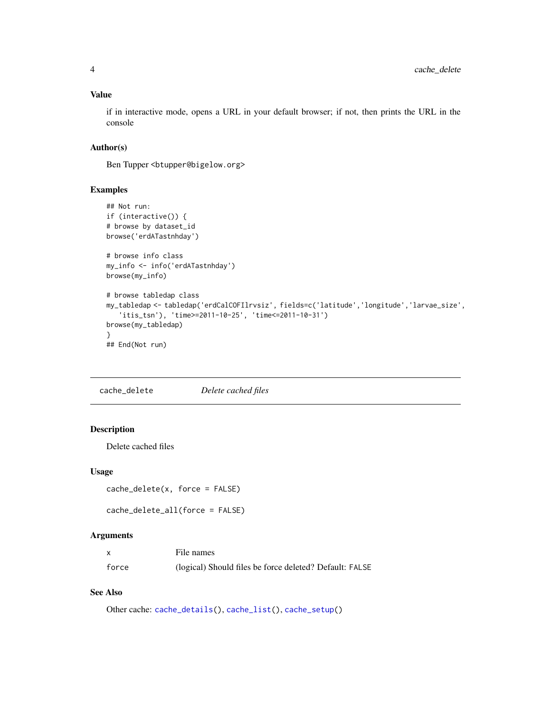#### <span id="page-3-0"></span>Value

if in interactive mode, opens a URL in your default browser; if not, then prints the URL in the console

### Author(s)

Ben Tupper <btupper@bigelow.org>

#### Examples

```
## Not run:
if (interactive()) {
# browse by dataset_id
browse('erdATastnhday')
# browse info class
my_info <- info('erdATastnhday')
browse(my_info)
# browse tabledap class
my_tabledap <- tabledap('erdCalCOFIlrvsiz', fields=c('latitude','longitude','larvae_size',
   'itis_tsn'), 'time>=2011-10-25', 'time<=2011-10-31')
browse(my_tabledap)
}
## End(Not run)
```
<span id="page-3-1"></span>cache\_delete *Delete cached files*

# Description

Delete cached files

#### Usage

cache\_delete(x, force = FALSE)

cache\_delete\_all(force = FALSE)

## Arguments

| x     | File names                                              |
|-------|---------------------------------------------------------|
| force | (logical) Should files be force deleted? Default: FALSE |

# See Also

Other cache: [cache\\_details\(](#page-4-1)), [cache\\_list\(](#page-5-1)), [cache\\_setup\(](#page-6-1))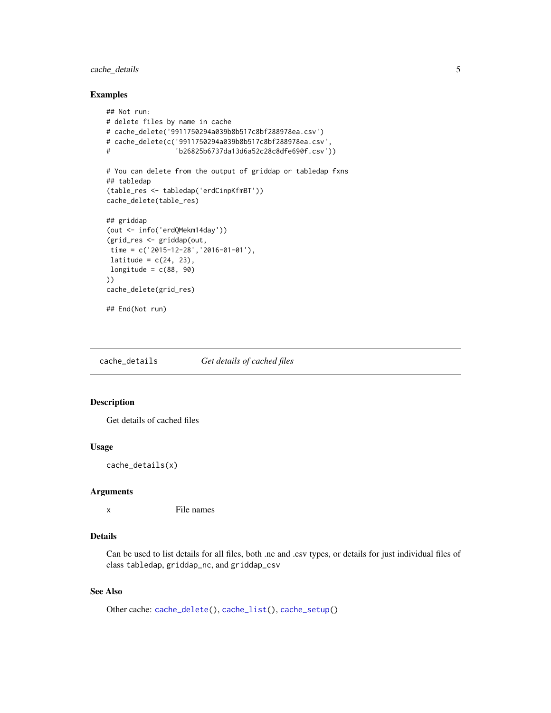# <span id="page-4-0"></span>cache\_details 5

#### Examples

```
## Not run:
# delete files by name in cache
# cache_delete('9911750294a039b8b517c8bf288978ea.csv')
# cache_delete(c('9911750294a039b8b517c8bf288978ea.csv',
# 'b26825b6737da13d6a52c28c8dfe690f.csv'))
# You can delete from the output of griddap or tabledap fxns
## tabledap
(table_res <- tabledap('erdCinpKfmBT'))
cache_delete(table_res)
## griddap
(out <- info('erdQMekm14day'))
(grid_res <- griddap(out,
time = c('2015-12-28','2016-01-01'),
latitude = c(24, 23),
longitude = c(88, 90)))
cache_delete(grid_res)
## End(Not run)
```
<span id="page-4-1"></span>cache\_details *Get details of cached files*

# Description

Get details of cached files

#### Usage

```
cache_details(x)
```
#### Arguments

x File names

#### Details

Can be used to list details for all files, both .nc and .csv types, or details for just individual files of class tabledap, griddap\_nc, and griddap\_csv

#### See Also

```
Other cache: cache_delete(), cache_list(), cache_setup()
```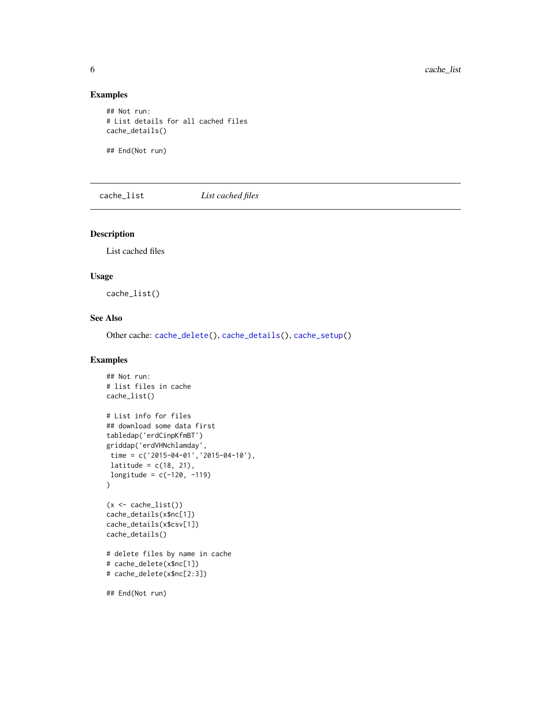#### Examples

```
## Not run:
# List details for all cached files
cache_details()
```
## End(Not run)

<span id="page-5-1"></span>cache\_list *List cached files*

#### Description

List cached files

#### Usage

cache\_list()

# See Also

Other cache: [cache\\_delete\(](#page-3-1)), [cache\\_details\(](#page-4-1)), [cache\\_setup\(](#page-6-1))

```
## Not run:
# list files in cache
cache_list()
# List info for files
## download some data first
tabledap('erdCinpKfmBT')
griddap('erdVHNchlamday',
 time = c('2015-04-01','2015-04-10'),
 latitude = c(18, 21),
longitude = c(-120, -119))
(x \leq \text{cache\_list}()cache_details(x$nc[1])
cache_details(x$csv[1])
cache_details()
# delete files by name in cache
# cache_delete(x$nc[1])
# cache_delete(x$nc[2:3])
## End(Not run)
```
<span id="page-5-0"></span>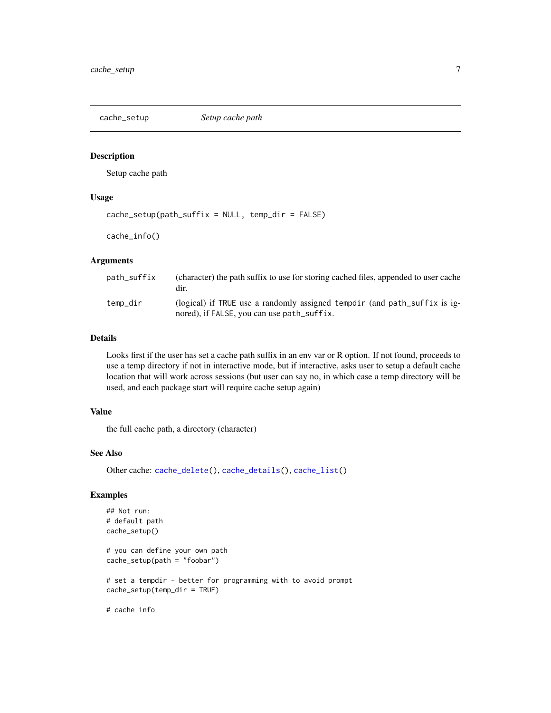<span id="page-6-1"></span><span id="page-6-0"></span>

#### Description

Setup cache path

# Usage

```
cache_setup(path_suffix = NULL, temp_dir = FALSE)
```
cache\_info()

#### Arguments

| path suffix | (character) the path suffix to use for storing cached files, appended to user cache<br>dir.                             |
|-------------|-------------------------------------------------------------------------------------------------------------------------|
| temp_dir    | (logical) if TRUE use a randomly assigned tempdir (and path_suffix is ig-<br>nored), if FALSE, you can use path_suffix. |

#### Details

Looks first if the user has set a cache path suffix in an env var or R option. If not found, proceeds to use a temp directory if not in interactive mode, but if interactive, asks user to setup a default cache location that will work across sessions (but user can say no, in which case a temp directory will be used, and each package start will require cache setup again)

### Value

the full cache path, a directory (character)

#### See Also

Other cache: [cache\\_delete\(](#page-3-1)), [cache\\_details\(](#page-4-1)), [cache\\_list\(](#page-5-1))

```
## Not run:
# default path
cache_setup()
# you can define your own path
cache_setup(path = "foobar")
# set a tempdir - better for programming with to avoid prompt
cache_setup(temp_dir = TRUE)
# cache info
```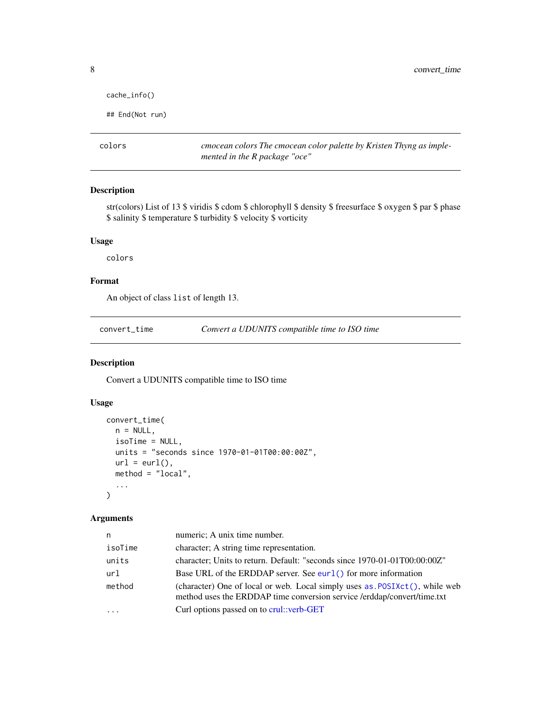```
cache_info()
```

```
## End(Not run)
```
colors *cmocean colors The cmocean color palette by Kristen Thyng as implemented in the R package "oce"*

#### Description

str(colors) List of 13 \$ viridis \$ cdom \$ chlorophyll \$ density \$ freesurface \$ oxygen \$ par \$ phase \$ salinity \$ temperature \$ turbidity \$ velocity \$ vorticity

#### Usage

colors

#### Format

An object of class list of length 13.

convert\_time *Convert a UDUNITS compatible time to ISO time*

#### Description

Convert a UDUNITS compatible time to ISO time

# Usage

```
convert_time(
 n = NULL,isoTime = NULL,
 units = "seconds since 1970-01-01T00:00:00Z",
 url = curl(),method = "local",
  ...
)
```
#### Arguments

| n       | numeric; A unix time number.                                                                                                                          |
|---------|-------------------------------------------------------------------------------------------------------------------------------------------------------|
| isoTime | character; A string time representation.                                                                                                              |
| units   | character; Units to return. Default: "seconds since 1970-01-01T00:00:00Z"                                                                             |
| url     | Base URL of the ERDDAP server. See eurl() for more information                                                                                        |
| method  | (character) One of local or web. Local simply uses as POSIXct(), while web<br>method uses the ERDDAP time conversion service /erddap/convert/time.txt |
|         | Curl options passed on to crul: verb-GET                                                                                                              |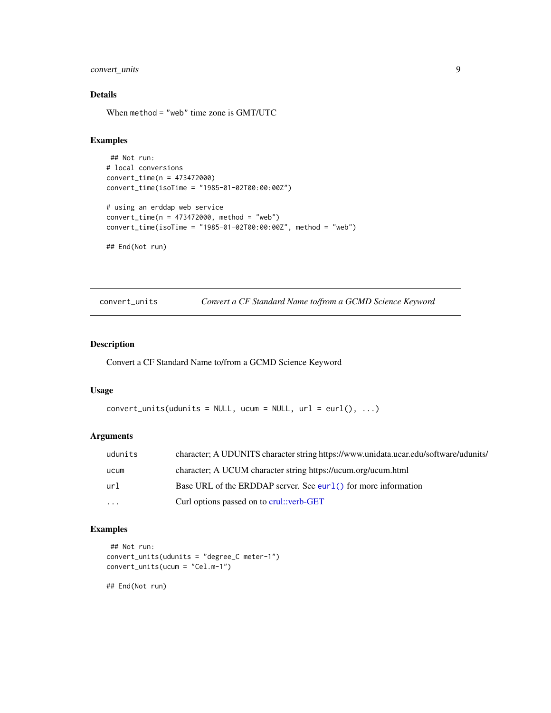# <span id="page-8-0"></span>convert\_units 9

# Details

When method = "web" time zone is GMT/UTC

#### Examples

```
## Not run:
# local conversions
convert_time(n = 473472000)
convert_time(isoTime = "1985-01-02T00:00:00Z")
# using an erddap web service
convert_time(n = 473472000, method = "web")
convert_time(isoTime = "1985-01-02T00:00:00Z", method = "web")
```
## End(Not run)

convert\_units *Convert a CF Standard Name to/from a GCMD Science Keyword*

#### Description

Convert a CF Standard Name to/from a GCMD Science Keyword

### Usage

```
convert\_units(udunits = NULL, ucum = NULL, url = curl(), ...)
```
# Arguments

| udunits | character; A UDUNITS character string https://www.unidata.ucar.edu/software/udunits/ |
|---------|--------------------------------------------------------------------------------------|
| ucum    | character; A UCUM character string https://ucum.org/ucum.html                        |
| ur1     | Base URL of the ERDDAP server. See eurl() for more information                       |
| .       | Curl options passed on to crul::verb-GET                                             |

# Examples

```
## Not run:
convert_units(udunits = "degree_C meter-1")
convert_units(ucum = "Cel.m-1")
```
## End(Not run)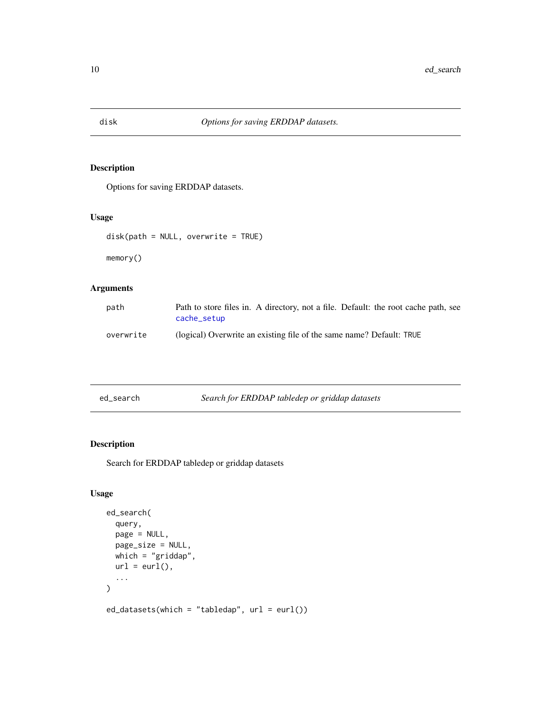<span id="page-9-3"></span><span id="page-9-0"></span>

# <span id="page-9-4"></span>Description

Options for saving ERDDAP datasets.

# Usage

```
disk(path = NULL, overwrite = TRUE)
```
memory()

# Arguments

| path      | Path to store files in. A directory, not a file. Default: the root cache path, see<br>cache_setup |
|-----------|---------------------------------------------------------------------------------------------------|
| overwrite | (logical) Overwrite an existing file of the same name? Default: TRUE                              |

<span id="page-9-1"></span>

# <span id="page-9-2"></span>Description

Search for ERDDAP tabledep or griddap datasets

# Usage

```
ed_search(
 query,
 page = NULL,
 page_size = NULL,
 which = "grid,
 url = curl(),...
)
ed_datasets(which = "tabledap", url = eurl())
```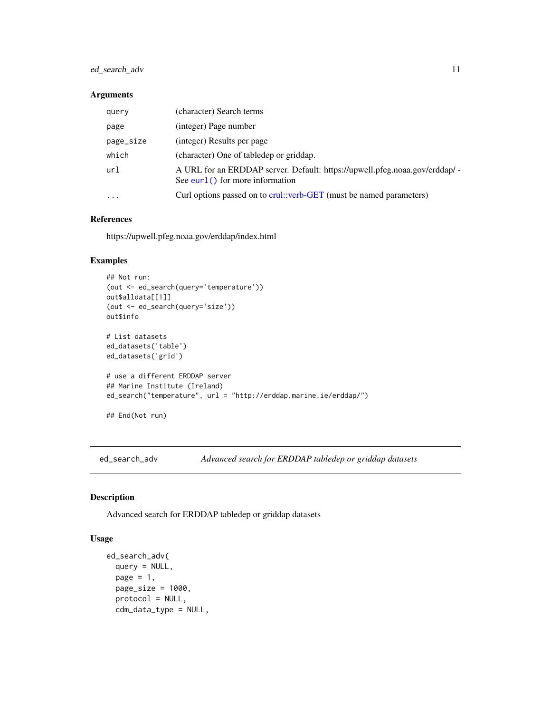# <span id="page-10-0"></span>ed\_search\_adv 11

#### Arguments

| query     | (character) Search terms                                                                                          |
|-----------|-------------------------------------------------------------------------------------------------------------------|
| page      | (integer) Page number                                                                                             |
| page_size | (integer) Results per page                                                                                        |
| which     | (character) One of tabledep or griddap.                                                                           |
| url       | A URL for an ERDDAP server. Default: https://upwell.pfeg.noaa.gov/erddap/ -<br>See eurl $()$ for more information |
| $\cdots$  | Curl options passed on to crul::verb-GET (must be named parameters)                                               |

## References

https://upwell.pfeg.noaa.gov/erddap/index.html

#### Examples

```
## Not run:
(out <- ed_search(query='temperature'))
out$alldata[[1]]
(out <- ed_search(query='size'))
out$info
# List datasets
ed_datasets('table')
ed_datasets('grid')
# use a different ERDDAP server
## Marine Institute (Ireland)
ed_search("temperature", url = "http://erddap.marine.ie/erddap/")
## End(Not run)
```
ed\_search\_adv *Advanced search for ERDDAP tabledep or griddap datasets*

# Description

Advanced search for ERDDAP tabledep or griddap datasets

# Usage

```
ed_search_adv(
 query = NULL,
 page = 1,
 page_size = 1000,
 protocol = NULL,
 cdm_data_type = NULL,
```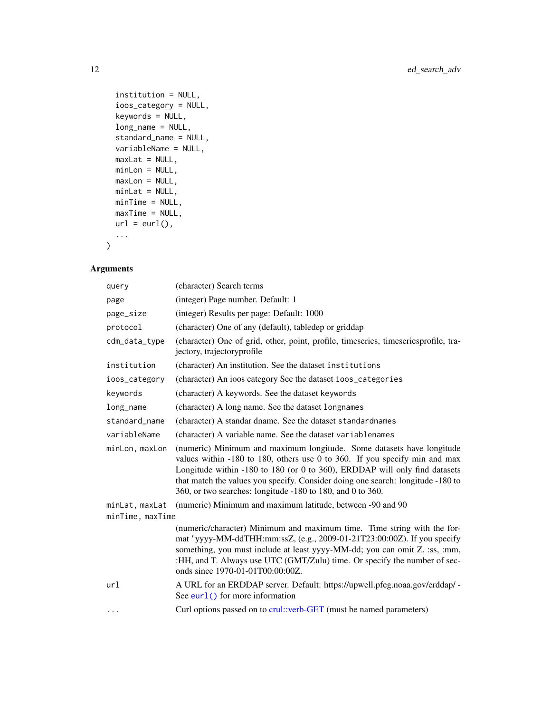```
institution = NULL,
  ioos_category = NULL,
  keywords = NULL,
  long_name = NULL,
  standard_name = NULL,
 variableName = NULL,
 maxLat = NULL,minLon = NULL,
 maxLon = NULL,
 minLat = NULL,
 minTime = NULL,
 maxTime = NULL,url = curl(),...
\mathcal{L}
```
# Arguments

| query            | (character) Search terms                                                                                                                                                                                                                                                                                                                                                           |  |  |
|------------------|------------------------------------------------------------------------------------------------------------------------------------------------------------------------------------------------------------------------------------------------------------------------------------------------------------------------------------------------------------------------------------|--|--|
| page             | (integer) Page number. Default: 1                                                                                                                                                                                                                                                                                                                                                  |  |  |
| page_size        | (integer) Results per page: Default: 1000                                                                                                                                                                                                                                                                                                                                          |  |  |
| protocol         | (character) One of any (default), tabledep or griddap                                                                                                                                                                                                                                                                                                                              |  |  |
| cdm_data_type    | (character) One of grid, other, point, profile, timeseries, timeseriesprofile, tra-<br>jectory, trajectoryprofile                                                                                                                                                                                                                                                                  |  |  |
| institution      | (character) An institution. See the dataset institutions                                                                                                                                                                                                                                                                                                                           |  |  |
| ioos_category    | (character) An ioos category See the dataset ioos_categories                                                                                                                                                                                                                                                                                                                       |  |  |
| keywords         | (character) A keywords. See the dataset keywords                                                                                                                                                                                                                                                                                                                                   |  |  |
| long_name        | (character) A long name. See the dataset longnames                                                                                                                                                                                                                                                                                                                                 |  |  |
| standard name    | (character) A standar dname. See the dataset standardnames                                                                                                                                                                                                                                                                                                                         |  |  |
| variableName     | (character) A variable name. See the dataset variablenames                                                                                                                                                                                                                                                                                                                         |  |  |
| minLon, maxLon   | (numeric) Minimum and maximum longitude. Some datasets have longitude<br>values within -180 to 180, others use 0 to 360. If you specify min and max<br>Longitude within -180 to 180 (or 0 to 360), ERDDAP will only find datasets<br>that match the values you specify. Consider doing one search: longitude -180 to<br>360, or two searches: longitude -180 to 180, and 0 to 360. |  |  |
| minLat, maxLat   | (numeric) Minimum and maximum latitude, between -90 and 90                                                                                                                                                                                                                                                                                                                         |  |  |
| minTime, maxTime |                                                                                                                                                                                                                                                                                                                                                                                    |  |  |
|                  | (numeric/character) Minimum and maximum time. Time string with the for-<br>mat "yyyy-MM-ddTHH:mm:ssZ, (e.g., 2009-01-21T23:00:00Z). If you specify<br>something, you must include at least yyyy-MM-dd; you can omit Z, :ss, :mm,<br>:HH, and T. Always use UTC (GMT/Zulu) time. Or specify the number of sec-<br>onds since 1970-01-01T00:00:00Z.                                  |  |  |
| url              | A URL for an ERDDAP server. Default: https://upwell.pfeg.noaa.gov/erddap/ -<br>See eurl $()$ for more information                                                                                                                                                                                                                                                                  |  |  |
| $\cdots$         | Curl options passed on to crul::verb-GET (must be named parameters)                                                                                                                                                                                                                                                                                                                |  |  |

<span id="page-11-0"></span>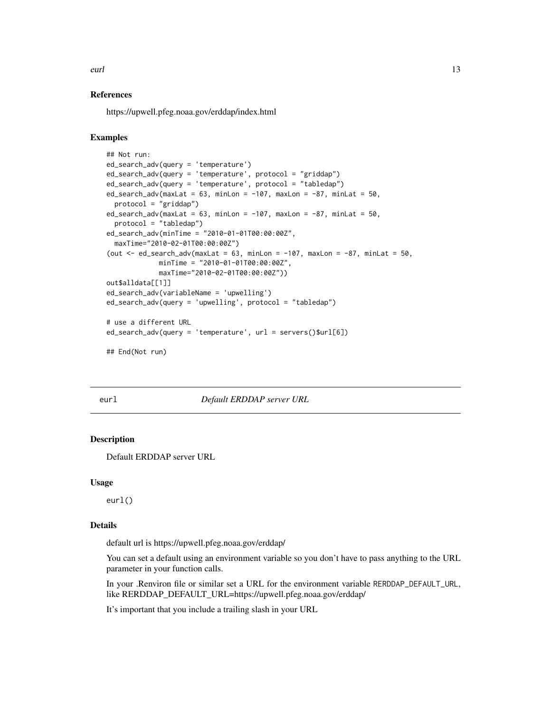<span id="page-12-0"></span>eurl 13

#### References

https://upwell.pfeg.noaa.gov/erddap/index.html

#### Examples

```
## Not run:
ed_search_adv(query = 'temperature')
ed_search_adv(query = 'temperature', protocol = "griddap")
ed_search_adv(query = 'temperature', protocol = "tabledap")
ed\_search\_adv(maxLat = 63, minLon = -107, maxLon = -87, minLat = 50,protocol = "griddap")
ed_search_adv(maxLat = 63, minLon = -107, maxLon = -87, minLat = 50,
  protocol = "tabledap")
ed_search_adv(minTime = "2010-01-01T00:00:00Z",
  maxTime="2010-02-01T00:00:00Z")
(out \leq ed_search_adv(maxLat = 63, minLon = -107, maxLon = -87, minLat = 50,
             minTime = "2010-01-01T00:00:00Z",
             maxTime="2010-02-01T00:00:00Z"))
out$alldata[[1]]
ed_search_adv(variableName = 'upwelling')
ed_search_adv(query = 'upwelling', protocol = "tabledap")
# use a different URL
ed_search_adv(query = 'temperature', url = servers()$url[6])
## End(Not run)
```
<span id="page-12-1"></span>

eurl *Default ERDDAP server URL*

#### Description

Default ERDDAP server URL

#### Usage

eurl()

#### Details

default url is https://upwell.pfeg.noaa.gov/erddap/

You can set a default using an environment variable so you don't have to pass anything to the URL parameter in your function calls.

In your .Renviron file or similar set a URL for the environment variable RERDDAP\_DEFAULT\_URL, like RERDDAP\_DEFAULT\_URL=https://upwell.pfeg.noaa.gov/erddap/

It's important that you include a trailing slash in your URL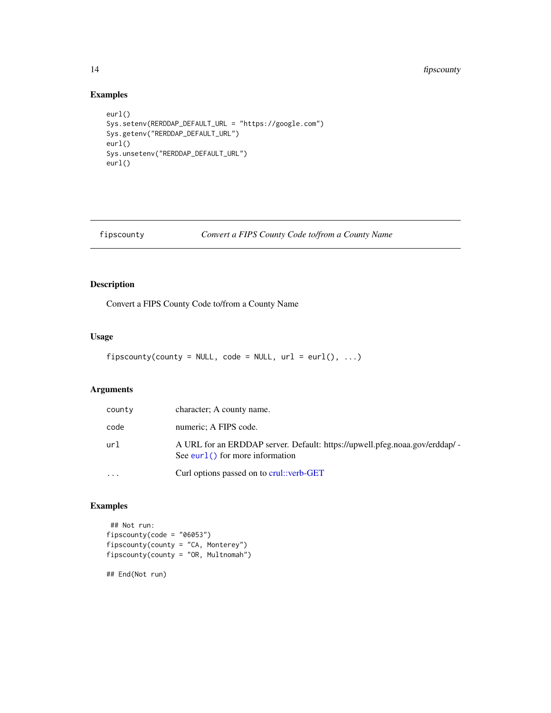# <span id="page-13-0"></span>14 *fipscounty*

## Examples

```
eurl()
Sys.setenv(RERDDAP_DEFAULT_URL = "https://google.com")
Sys.getenv("RERDDAP_DEFAULT_URL")
eurl()
Sys.unsetenv("RERDDAP_DEFAULT_URL")
eurl()
```

```
fipscounty Convert a FIPS County Code to/from a County Name
```
# Description

Convert a FIPS County Code to/from a County Name

## Usage

```
fipscounty(county = NULL, code = NULL, url = curl(), ...)
```
# Arguments

| county   | character; A county name.                                                                                         |
|----------|-------------------------------------------------------------------------------------------------------------------|
| code     | numeric; A FIPS code.                                                                                             |
| url      | A URL for an ERDDAP server. Default: https://upwell.pfeg.noaa.gov/erddap/ -<br>See eurl $()$ for more information |
| $\cdots$ | Curl options passed on to crul: verb-GET                                                                          |

# Examples

```
## Not run:
fipscounty(code = "06053")
fipscounty(county = "CA, Monterey")
fipscounty(county = "OR, Multnomah")
```
## End(Not run)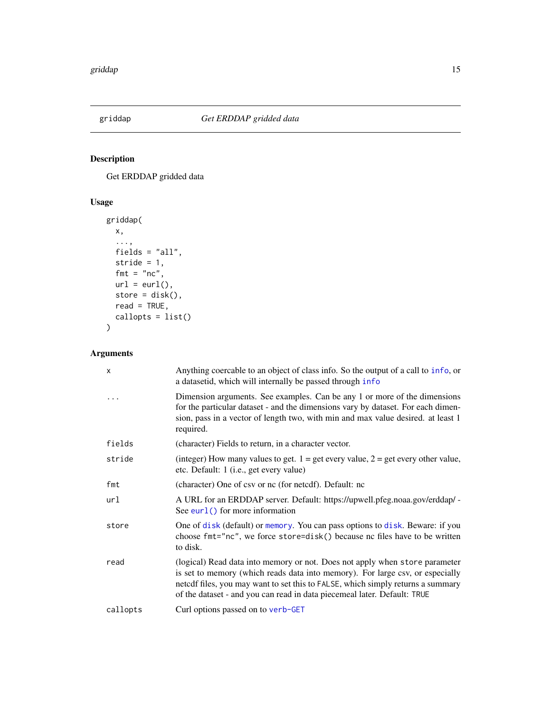<span id="page-14-1"></span><span id="page-14-0"></span>

# Description

Get ERDDAP gridded data

# Usage

```
griddap(
 x,
 ...,
 fields = "all",
 stride = 1,
 fmt = "nc",url = curl(),store = disk(),
 read = TRUE,
 callopts = list()
\mathcal{L}
```
# Arguments

| x        | Anything coercable to an object of class info. So the output of a call to info, or<br>a datasetid, which will internally be passed through info                                                                                                                                                                             |
|----------|-----------------------------------------------------------------------------------------------------------------------------------------------------------------------------------------------------------------------------------------------------------------------------------------------------------------------------|
| $\ddots$ | Dimension arguments. See examples. Can be any 1 or more of the dimensions<br>for the particular dataset - and the dimensions vary by dataset. For each dimen-<br>sion, pass in a vector of length two, with min and max value desired. at least 1<br>required.                                                              |
| fields   | (character) Fields to return, in a character vector.                                                                                                                                                                                                                                                                        |
| stride   | (integer) How many values to get. $1 =$ get every value, $2 =$ get every other value,<br>etc. Default: 1 (i.e., get every value)                                                                                                                                                                                            |
| fmt      | (character) One of csv or nc (for netedf). Default: nc                                                                                                                                                                                                                                                                      |
| url      | A URL for an ERDDAP server. Default: https://upwell.pfeg.noaa.gov/erddap/ -<br>See eurl() for more information                                                                                                                                                                                                              |
| store    | One of disk (default) or memory. You can pass options to disk. Beware: if you<br>choose fmt="nc", we force store=disk() because nc files have to be written<br>to disk.                                                                                                                                                     |
| read     | (logical) Read data into memory or not. Does not apply when store parameter<br>is set to memory (which reads data into memory). For large csv, or especially<br>netcdf files, you may want to set this to FALSE, which simply returns a summary<br>of the dataset - and you can read in data piecemeal later. Default: TRUE |
| callopts | Curl options passed on to verb-GET                                                                                                                                                                                                                                                                                          |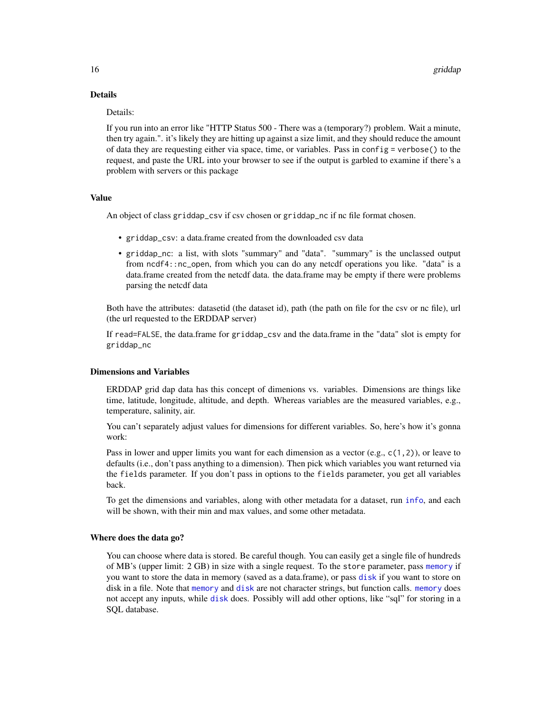# Details

#### Details:

If you run into an error like "HTTP Status 500 - There was a (temporary?) problem. Wait a minute, then try again.". it's likely they are hitting up against a size limit, and they should reduce the amount of data they are requesting either via space, time, or variables. Pass in config = verbose() to the request, and paste the URL into your browser to see if the output is garbled to examine if there's a problem with servers or this package

#### Value

An object of class griddap\_csv if csv chosen or griddap\_nc if nc file format chosen.

- griddap\_csv: a data.frame created from the downloaded csv data
- griddap\_nc: a list, with slots "summary" and "data". "summary" is the unclassed output from ncdf4::nc\_open, from which you can do any netcdf operations you like. "data" is a data.frame created from the netcdf data. the data.frame may be empty if there were problems parsing the netcdf data

Both have the attributes: datasetid (the dataset id), path (the path on file for the csv or nc file), url (the url requested to the ERDDAP server)

If read=FALSE, the data.frame for griddap\_csv and the data.frame in the "data" slot is empty for griddap\_nc

#### Dimensions and Variables

ERDDAP grid dap data has this concept of dimenions vs. variables. Dimensions are things like time, latitude, longitude, altitude, and depth. Whereas variables are the measured variables, e.g., temperature, salinity, air.

You can't separately adjust values for dimensions for different variables. So, here's how it's gonna work:

Pass in lower and upper limits you want for each dimension as a vector (e.g., c(1,2)), or leave to defaults (i.e., don't pass anything to a dimension). Then pick which variables you want returned via the fields parameter. If you don't pass in options to the fields parameter, you get all variables back.

To get the dimensions and variables, along with other metadata for a dataset, run [info](#page-18-1), and each will be shown, with their min and max values, and some other metadata.

#### Where does the data go?

You can choose where data is stored. Be careful though. You can easily get a single file of hundreds of MB's (upper limit: 2 GB) in size with a single request. To the store parameter, pass [memory](#page-9-4) if you want to store the data in memory (saved as a data.frame), or pass [disk](#page-9-3) if you want to store on disk in a file. Note that [memory](#page-9-4) and [disk](#page-9-3) are not character strings, but function calls. [memory](#page-9-4) does not accept any inputs, while [disk](#page-9-3) does. Possibly will add other options, like "sql" for storing in a SQL database.

<span id="page-15-0"></span>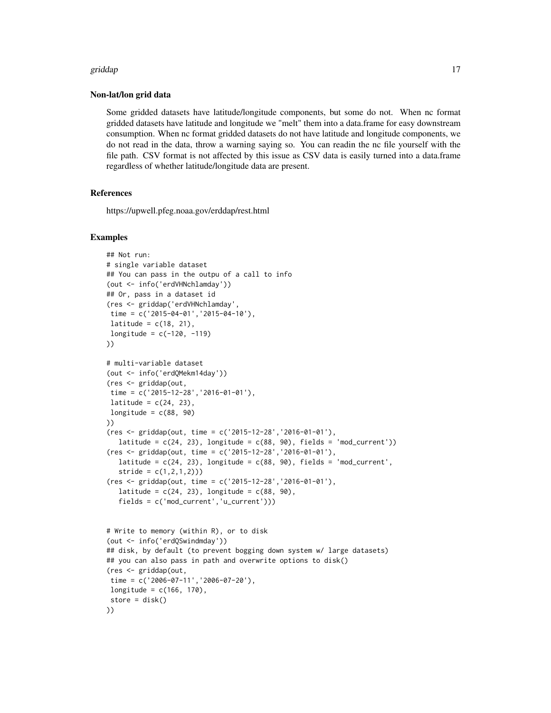#### griddap 17

#### Non-lat/lon grid data

Some gridded datasets have latitude/longitude components, but some do not. When nc format gridded datasets have latitude and longitude we "melt" them into a data.frame for easy downstream consumption. When nc format gridded datasets do not have latitude and longitude components, we do not read in the data, throw a warning saying so. You can readin the nc file yourself with the file path. CSV format is not affected by this issue as CSV data is easily turned into a data.frame regardless of whether latitude/longitude data are present.

# References

https://upwell.pfeg.noaa.gov/erddap/rest.html

```
## Not run:
# single variable dataset
## You can pass in the outpu of a call to info
(out <- info('erdVHNchlamday'))
## Or, pass in a dataset id
(res <- griddap('erdVHNchlamday',
time = c('2015-04-01','2015-04-10'),
latitude = c(18, 21),
longitude = c(-120, -119)))
# multi-variable dataset
(out <- info('erdQMekm14day'))
(res <- griddap(out,
time = c('2015-12-28','2016-01-01'),
latitude = c(24, 23),
longitude = c(88, 90)))
(res <- griddap(out, time = c('2015-12-28','2016-01-01'),
  latitude = c(24, 23), longitude = c(88, 90), fields = 'mod_current'))
(res <- griddap(out, time = c('2015-12-28','2016-01-01'),
  latitude = c(24, 23), longitude = c(88, 90), fields = 'mod_current',
   stride = c(1, 2, 1, 2))(res <- griddap(out, time = c('2015-12-28','2016-01-01'),
  latitude = c(24, 23), longitude = c(88, 90),
   fields = c('mod_current','u_current')))
# Write to memory (within R), or to disk
(out <- info('erdQSwindmday'))
## disk, by default (to prevent bogging down system w/ large datasets)
## you can also pass in path and overwrite options to disk()
(res <- griddap(out,
time = c('2006-07-11','2006-07-20'),
longitude = c(166, 170),
store = disk()))
```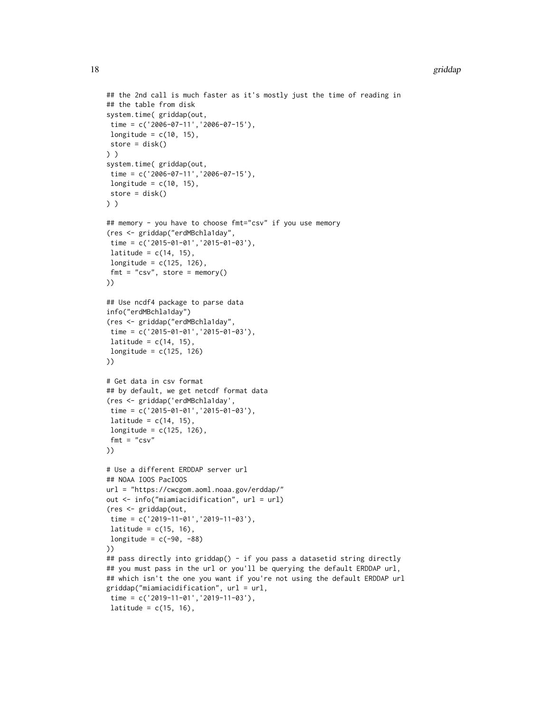#### 18 griddap i 1992 o 1992 a 1993 a 1994 a 1999 a 1999 a 1999 a 1999 a 1999 a 1999 a 1999 a 1999 a 1999 a 1999 a

```
## the 2nd call is much faster as it's mostly just the time of reading in
## the table from disk
system.time( griddap(out,
time = c('2006-07-11', '2006-07-15'),longitude = c(10, 15),
store = disk()
) )
system.time( griddap(out,
time = c('2006-07-11','2006-07-15'),
 longitude = c(10, 15),
 store = disk()
) )
## memory - you have to choose fmt="csv" if you use memory
(res <- griddap("erdMBchla1day",
time = c('2015-01-01','2015-01-03'),
latitude = c(14, 15),
longitude = c(125, 126),
 fmt = "csv", store = memory()))
## Use ncdf4 package to parse data
info("erdMBchla1day")
(res <- griddap("erdMBchla1day",
time = c('2015-01-01','2015-01-03'),
 latitude = c(14, 15),
longitude = c(125, 126)))
# Get data in csv format
## by default, we get netcdf format data
(res <- griddap('erdMBchla1day',
time = c('2015-01-01','2015-01-03'),
 latitude = c(14, 15),
longitude = c(125, 126),
fmt = "csv"))
# Use a different ERDDAP server url
## NOAA IOOS PacIOOS
url = "https://cwcgom.aoml.noaa.gov/erddap/"
out <- info("miamiacidification", url = url)
(res <- griddap(out,
time = c('2019-11-01','2019-11-03'),
latitude = c(15, 16),
longitude = c(-90, -88)))
## pass directly into griddap() - if you pass a datasetid string directly
## you must pass in the url or you'll be querying the default ERDDAP url,
## which isn't the one you want if you're not using the default ERDDAP url
griddap("miamiacidification", url = url,
 time = c('2019-11-01','2019-11-03'),
 latitude = c(15, 16),
```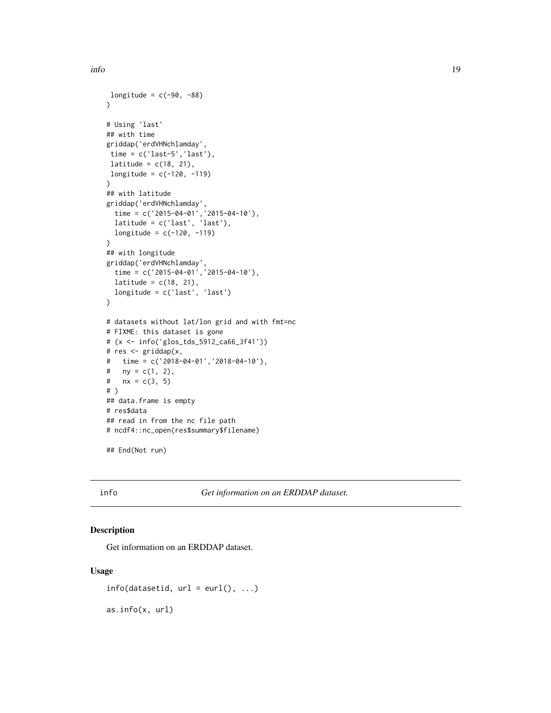```
longitude = c(-90, -88)\lambda# Using 'last'
## with time
griddap('erdVHNchlamday',
 time = c('last-5', 'last'),latitude = c(18, 21),
longitude = c(-120, -119)\lambda## with latitude
griddap('erdVHNchlamday',
  time = c('2015-04-01','2015-04-10'),
  latitude = c('last', 'last'),
  longitude = c(-120, -119))
## with longitude
griddap('erdVHNchlamday',
  time = c('2015-04-01','2015-04-10'),
  latitude = c(18, 21),
  longitude = c('last', 'last')
\lambda# datasets without lat/lon grid and with fmt=nc
# FIXME: this dataset is gone
# (x <- info('glos_tds_5912_ca66_3f41'))
# res <- griddap(x,
# time = c('2018-04-01','2018-04-10'),
# ny = c(1, 2),
# nx = c(3, 5)# )
## data.frame is empty
# res$data
## read in from the nc file path
# ncdf4::nc_open(res$summary$filename)
```

```
## End(Not run)
```
<span id="page-18-1"></span>info *Get information on an ERDDAP dataset.*

# Description

Get information on an ERDDAP dataset.

#### Usage

```
info(datasetid, url = curl(), ...)
```
as.info(x, url)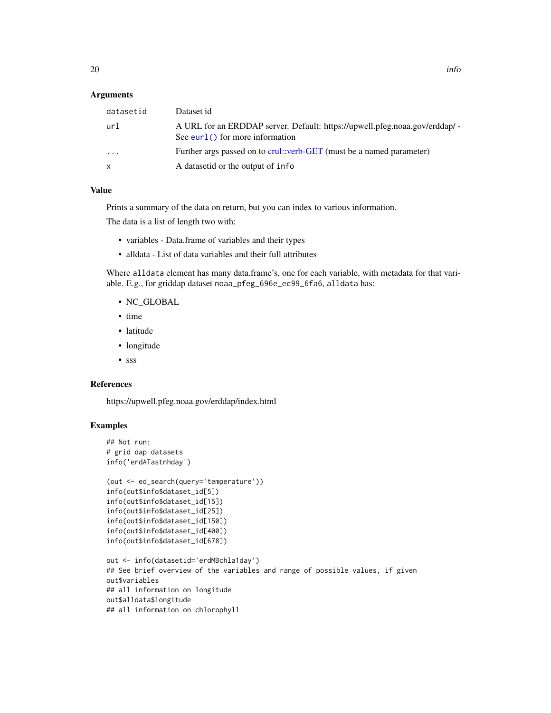#### <span id="page-19-0"></span>Arguments

| datasetid | Dataset id                                                                                                        |
|-----------|-------------------------------------------------------------------------------------------------------------------|
| url       | A URL for an ERDDAP server. Default: https://upwell.pfeg.noaa.gov/erddap/ -<br>See eurl $()$ for more information |
| $\cdots$  | Further args passed on to crul::verb-GET (must be a named parameter)                                              |
| X         | A datasetid or the output of info                                                                                 |
|           |                                                                                                                   |

#### Value

Prints a summary of the data on return, but you can index to various information.

The data is a list of length two with:

- variables Data.frame of variables and their types
- alldata List of data variables and their full attributes

Where alldata element has many data.frame's, one for each variable, with metadata for that variable. E.g., for griddap dataset noaa\_pfeg\_696e\_ec99\_6fa6, alldata has:

- NC\_GLOBAL
- time
- latitude
- longitude
- sss

#### References

https://upwell.pfeg.noaa.gov/erddap/index.html

```
## Not run:
# grid dap datasets
info('erdATastnhday')
(out <- ed_search(query='temperature'))
info(out$info$dataset_id[5])
info(out$info$dataset_id[15])
info(out$info$dataset_id[25])
info(out$info$dataset_id[150])
info(out$info$dataset_id[400])
info(out$info$dataset_id[678])
out <- info(datasetid='erdMBchla1day')
```

```
## See brief overview of the variables and range of possible values, if given
out$variables
## all information on longitude
out$alldata$longitude
## all information on chlorophyll
```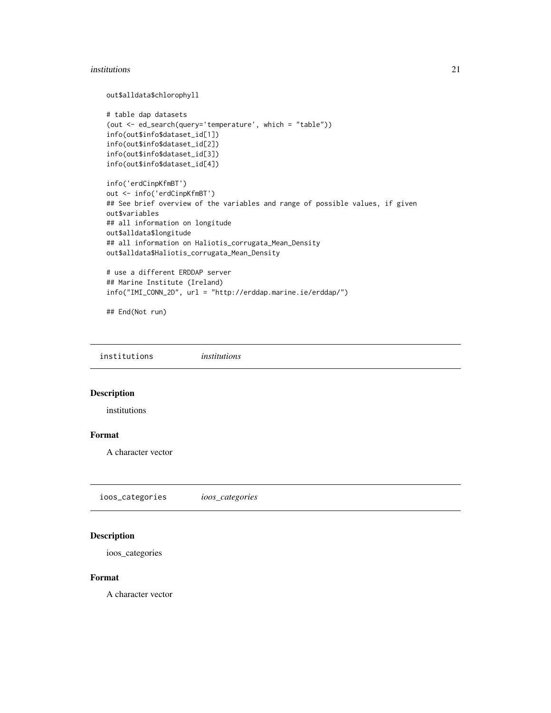#### <span id="page-20-0"></span>institutions 21

out\$alldata\$chlorophyll

```
# table dap datasets
(out <- ed_search(query='temperature', which = "table"))
info(out$info$dataset_id[1])
info(out$info$dataset_id[2])
info(out$info$dataset_id[3])
info(out$info$dataset_id[4])
```

```
info('erdCinpKfmBT')
out <- info('erdCinpKfmBT')
## See brief overview of the variables and range of possible values, if given
out$variables
## all information on longitude
out$alldata$longitude
## all information on Haliotis_corrugata_Mean_Density
out$alldata$Haliotis_corrugata_Mean_Density
# use a different ERDDAP server
```
## Marine Institute (Ireland) info("IMI\_CONN\_2D", url = "http://erddap.marine.ie/erddap/")

## End(Not run)

institutions *institutions*

#### Description

institutions

## Format

A character vector

ioos\_categories *ioos\_categories*

## Description

ioos\_categories

#### Format

A character vector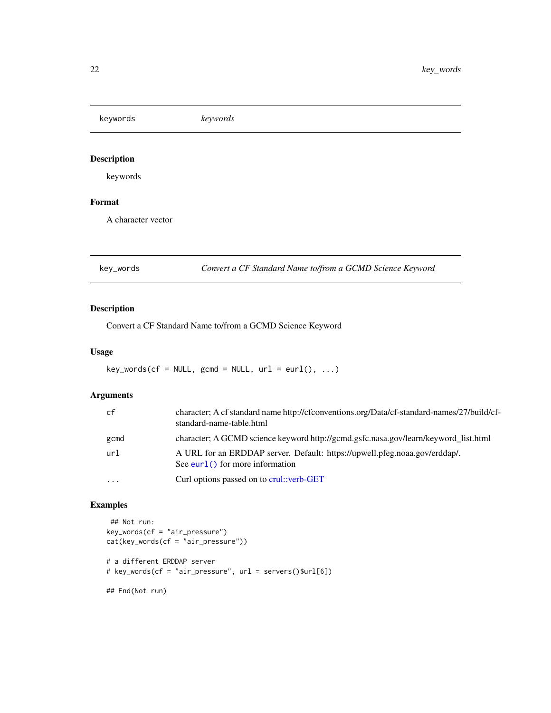<span id="page-21-0"></span>keywords *keywords*

# Description

keywords

# Format

A character vector

key\_words *Convert a CF Standard Name to/from a GCMD Science Keyword*

# Description

Convert a CF Standard Name to/from a GCMD Science Keyword

# Usage

 $key_words(cf = NULL, gcmd = NULL, url = curl(), ...)$ 

# Arguments

| cf                      | character; A cf standard name http://cfconventions.org/Data/cf-standard-names/27/build/cf-<br>standard-name-table.html |
|-------------------------|------------------------------------------------------------------------------------------------------------------------|
| gcmd                    | character; A GCMD science keyword http://gcmd.gsfc.nasa.gov/learn/keyword_list.html                                    |
| url                     | A URL for an ERDDAP server. Default: https://upwell.pfeg.noaa.gov/erddap/.<br>See eurl $()$ for more information       |
| $\cdot$ $\cdot$ $\cdot$ | Curl options passed on to crul: verb-GET                                                                               |

```
## Not run:
key_words(cf = "air_pressure")
cat(key_words(cf = "air_pressure"))
# a different ERDDAP server
# key_words(cf = "air_pressure", url = servers()$url[6])
```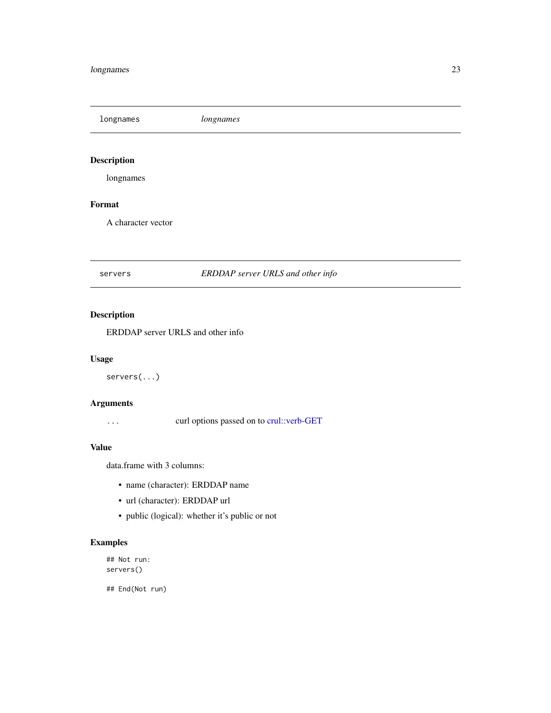<span id="page-22-0"></span>longnames *longnames*

# Description

longnames

# Format

A character vector

# servers *ERDDAP server URLS and other info*

# Description

ERDDAP server URLS and other info

# Usage

servers(...)

# Arguments

... curl options passed on to [crul::verb-GET](#page-0-0)

## Value

data.frame with 3 columns:

- name (character): ERDDAP name
- url (character): ERDDAP url
- public (logical): whether it's public or not

# Examples

## Not run: servers()

## End(Not run)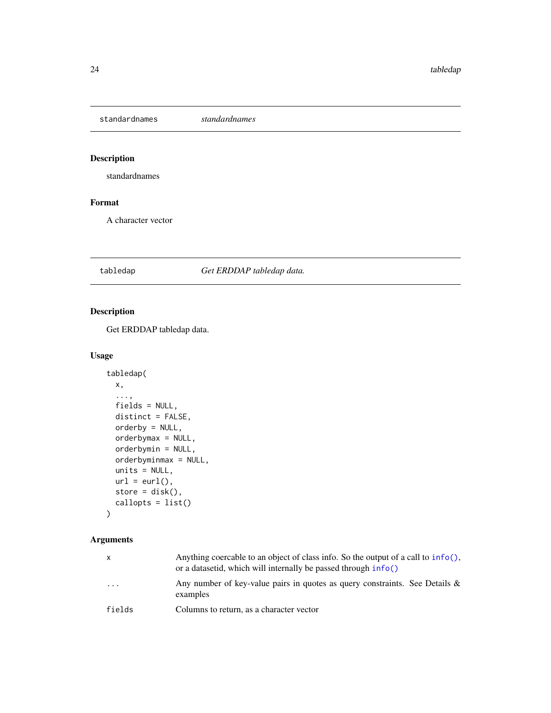<span id="page-23-0"></span>standardnames *standardnames*

# Description

standardnames

# Format

A character vector

#### <span id="page-23-1"></span>tabledap *Get ERDDAP tabledap data.*

# Description

Get ERDDAP tabledap data.

# Usage

```
tabledap(
 x,
  ...,
 fields = NULL,
 distinct = FALSE,
 orderby = NULL,
 orderbymax = NULL,
 orderbymin = NULL,
 orderbyminmax = NULL,
 units = NULL,
 url = curl(),store = disk(),
 callopts = list()
)
```
# Arguments

| $\mathsf{x}$            | Anything coercable to an object of class info. So the output of a call to $inf\circ($ ,<br>or a datasetid, which will internally be passed through info() |
|-------------------------|-----------------------------------------------------------------------------------------------------------------------------------------------------------|
| $\cdot$ $\cdot$ $\cdot$ | Any number of key-value pairs in quotes as query constraints. See Details $\&$<br>examples                                                                |
| fields                  | Columns to return, as a character vector                                                                                                                  |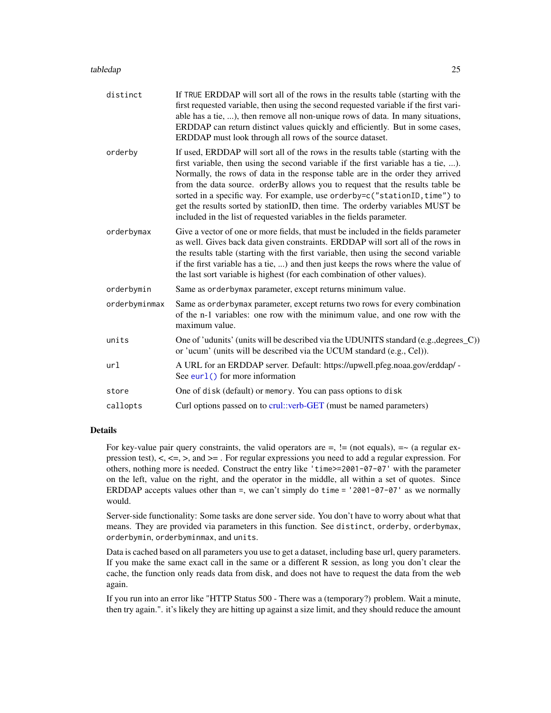#### <span id="page-24-0"></span>tabledap 25

| distinct      | If TRUE ERDDAP will sort all of the rows in the results table (starting with the<br>first requested variable, then using the second requested variable if the first vari-<br>able has a tie, ), then remove all non-unique rows of data. In many situations,<br>ERDDAP can return distinct values quickly and efficiently. But in some cases,<br>ERDDAP must look through all rows of the source dataset.                                                                                                                                                                         |
|---------------|-----------------------------------------------------------------------------------------------------------------------------------------------------------------------------------------------------------------------------------------------------------------------------------------------------------------------------------------------------------------------------------------------------------------------------------------------------------------------------------------------------------------------------------------------------------------------------------|
| orderby       | If used, ERDDAP will sort all of the rows in the results table (starting with the<br>first variable, then using the second variable if the first variable has a tie, ).<br>Normally, the rows of data in the response table are in the order they arrived<br>from the data source. orderBy allows you to request that the results table be<br>sorted in a specific way. For example, use orderby=c("stationID, time") to<br>get the results sorted by stationID, then time. The orderby variables MUST be<br>included in the list of requested variables in the fields parameter. |
| orderbymax    | Give a vector of one or more fields, that must be included in the fields parameter<br>as well. Gives back data given constraints. ERDDAP will sort all of the rows in<br>the results table (starting with the first variable, then using the second variable<br>if the first variable has a tie, ) and then just keeps the rows where the value of<br>the last sort variable is highest (for each combination of other values).                                                                                                                                                   |
| orderbymin    | Same as orderby max parameter, except returns minimum value.                                                                                                                                                                                                                                                                                                                                                                                                                                                                                                                      |
| orderbyminmax | Same as orderbymax parameter, except returns two rows for every combination<br>of the n-1 variables: one row with the minimum value, and one row with the<br>maximum value.                                                                                                                                                                                                                                                                                                                                                                                                       |
| units         | One of 'udunits' (units will be described via the UDUNITS standard (e.g., degrees_C))<br>or 'ucum' (units will be described via the UCUM standard (e.g., Cel)).                                                                                                                                                                                                                                                                                                                                                                                                                   |
| url           | A URL for an ERDDAP server. Default: https://upwell.pfeg.noaa.gov/erddap/ -<br>See $eur1()$ for more information                                                                                                                                                                                                                                                                                                                                                                                                                                                                  |
| store         | One of disk (default) or memory. You can pass options to disk                                                                                                                                                                                                                                                                                                                                                                                                                                                                                                                     |
| callopts      | Curl options passed on to crul::verb-GET (must be named parameters)                                                                                                                                                                                                                                                                                                                                                                                                                                                                                                               |
|               |                                                                                                                                                                                                                                                                                                                                                                                                                                                                                                                                                                                   |

#### Details

For key-value pair query constraints, the valid operators are  $=$ ,  $! =$  (not equals),  $= \infty$  (a regular expression test),  $\lt$ ,  $\lt$ =,  $\gt$ , and  $\gt$ =. For regular expressions you need to add a regular expression. For others, nothing more is needed. Construct the entry like 'time>=2001-07-07' with the parameter on the left, value on the right, and the operator in the middle, all within a set of quotes. Since ERDDAP accepts values other than =, we can't simply do time = '2001-07-07' as we normally would.

Server-side functionality: Some tasks are done server side. You don't have to worry about what that means. They are provided via parameters in this function. See distinct, orderby, orderbymax, orderbymin, orderbyminmax, and units.

Data is cached based on all parameters you use to get a dataset, including base url, query parameters. If you make the same exact call in the same or a different R session, as long you don't clear the cache, the function only reads data from disk, and does not have to request the data from the web again.

If you run into an error like "HTTP Status 500 - There was a (temporary?) problem. Wait a minute, then try again.". it's likely they are hitting up against a size limit, and they should reduce the amount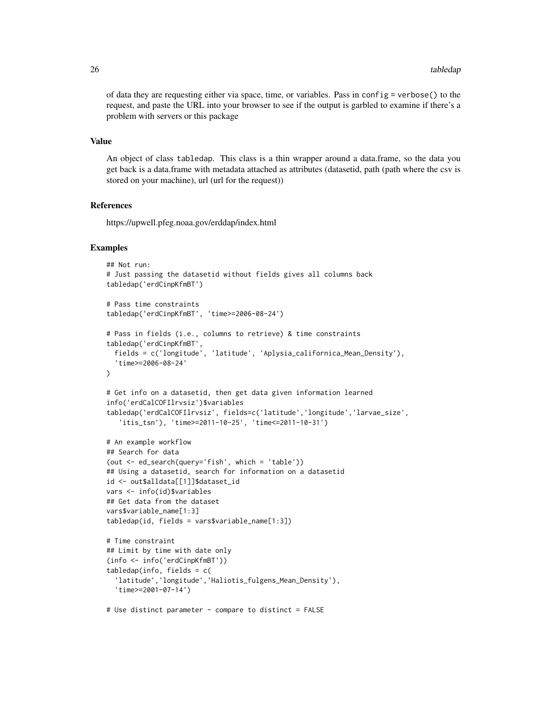of data they are requesting either via space, time, or variables. Pass in config = verbose() to the request, and paste the URL into your browser to see if the output is garbled to examine if there's a problem with servers or this package

#### Value

An object of class tabledap. This class is a thin wrapper around a data.frame, so the data you get back is a data.frame with metadata attached as attributes (datasetid, path (path where the csv is stored on your machine), url (url for the request))

#### References

https://upwell.pfeg.noaa.gov/erddap/index.html

```
## Not run:
# Just passing the datasetid without fields gives all columns back
tabledap('erdCinpKfmBT')
# Pass time constraints
tabledap('erdCinpKfmBT', 'time>=2006-08-24')
# Pass in fields (i.e., columns to retrieve) & time constraints
tabledap('erdCinpKfmBT',
 fields = c('longitude', 'latitude', 'Aplysia_californica_Mean_Density'),
  'time>=2006-08-24'
\lambda# Get info on a datasetid, then get data given information learned
info('erdCalCOFIlrvsiz')$variables
tabledap('erdCalCOFIlrvsiz', fields=c('latitude','longitude','larvae_size',
   'itis_tsn'), 'time>=2011-10-25', 'time<=2011-10-31')
# An example workflow
## Search for data
(out <- ed_search(query='fish', which = 'table'))
## Using a datasetid, search for information on a datasetid
id <- out$alldata[[1]]$dataset_id
vars <- info(id)$variables
## Get data from the dataset
vars$variable_name[1:3]
tabledap(id, fields = vars$variable_name[1:3])
# Time constraint
## Limit by time with date only
(info <- info('erdCinpKfmBT'))
tabledap(info, fields = c(
  'latitude','longitude','Haliotis_fulgens_Mean_Density'),
  'time>=2001-07-14')
# Use distinct parameter - compare to distinct = FALSE
```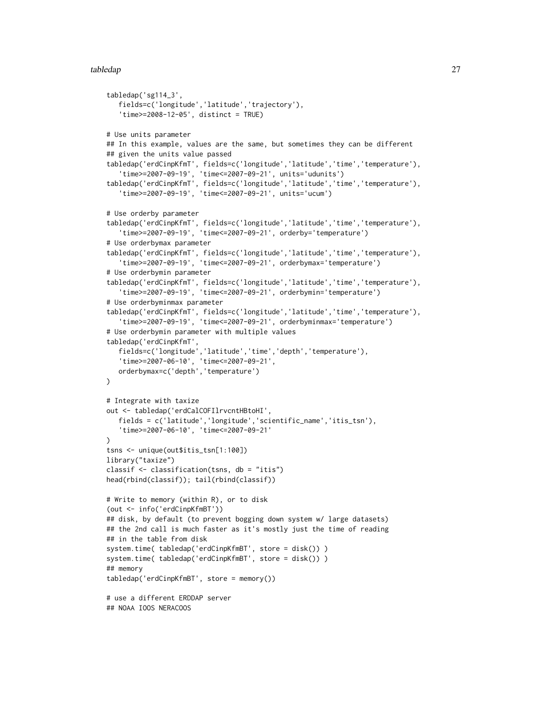```
tabledap('sg114_3',
   fields=c('longitude','latitude','trajectory'),
   'time>=2008-12-05', distinct = TRUE)
# Use units parameter
## In this example, values are the same, but sometimes they can be different
## given the units value passed
tabledap('erdCinpKfmT', fields=c('longitude','latitude','time','temperature'),
   'time>=2007-09-19', 'time<=2007-09-21', units='udunits')
tabledap('erdCinpKfmT', fields=c('longitude','latitude','time','temperature'),
   'time>=2007-09-19', 'time<=2007-09-21', units='ucum')
# Use orderby parameter
tabledap('erdCinpKfmT', fields=c('longitude','latitude','time','temperature'),
   'time>=2007-09-19', 'time<=2007-09-21', orderby='temperature')
# Use orderbymax parameter
tabledap('erdCinpKfmT', fields=c('longitude','latitude','time','temperature'),
   'time>=2007-09-19', 'time<=2007-09-21', orderbymax='temperature')
# Use orderbymin parameter
tabledap('erdCinpKfmT', fields=c('longitude','latitude','time','temperature'),
   'time>=2007-09-19', 'time<=2007-09-21', orderbymin='temperature')
# Use orderbyminmax parameter
tabledap('erdCinpKfmT', fields=c('longitude','latitude','time','temperature'),
   'time>=2007-09-19', 'time<=2007-09-21', orderbyminmax='temperature')
# Use orderbymin parameter with multiple values
tabledap('erdCinpKfmT',
   fields=c('longitude','latitude','time','depth','temperature'),
   'time>=2007-06-10', 'time<=2007-09-21',
  orderbymax=c('depth','temperature')
\mathcal{L}# Integrate with taxize
out <- tabledap('erdCalCOFIlrvcntHBtoHI',
   fields = c('latitude','longitude','scientific_name','itis_tsn'),
   'time>=2007-06-10', 'time<=2007-09-21'
\lambdatsns <- unique(out$itis_tsn[1:100])
library("taxize")
classif <- classification(tsns, db = "itis")
head(rbind(classif)); tail(rbind(classif))
# Write to memory (within R), or to disk
(out <- info('erdCinpKfmBT'))
## disk, by default (to prevent bogging down system w/ large datasets)
## the 2nd call is much faster as it's mostly just the time of reading
## in the table from disk
system.time( tabledap('erdCinpKfmBT', store = disk()) )
system.time( tabledap('erdCinpKfmBT', store = disk()) )
## memory
tabledap('erdCinpKfmBT', store = memory())
# use a different ERDDAP server
## NOAA IOOS NERACOOS
```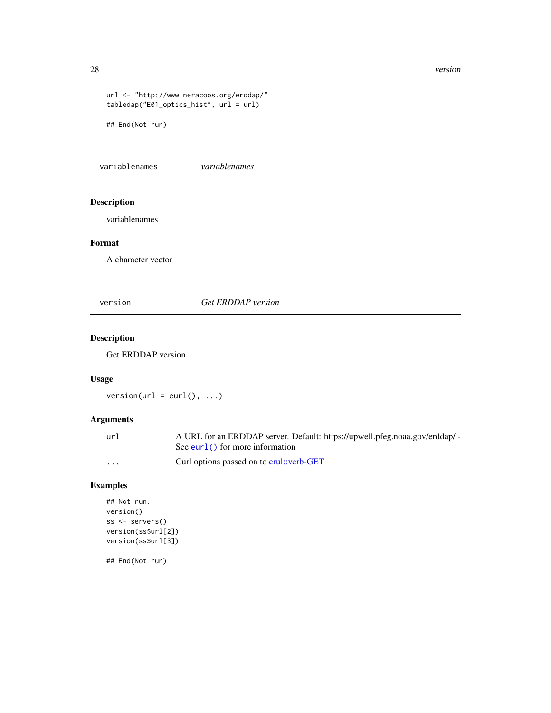#### 28 version was a set of the contract of the contract of the contract of the contract of the contract of the contract of the contract of the contract of the contract of the contract of the contract of the contract of the co

```
url <- "http://www.neracoos.org/erddap/"
tabledap("E01_optics_hist", url = url)
```
## End(Not run)

variablenames *variablenames*

# Description

variablenames

# Format

A character vector

version *Get ERDDAP version*

# Description

Get ERDDAP version

# Usage

 $version(url = curl(), ...)$ 

# Arguments

| url | A URL for an ERDDAP server. Default: https://upwell.pfeg.noaa.gov/erddap/ - |
|-----|-----------------------------------------------------------------------------|
|     | See eurl $()$ for more information                                          |
| .   | Curl options passed on to crul: verb-GET                                    |

# Examples

```
## Not run:
version()
ss <- servers()
version(ss$url[2])
version(ss$url[3])
```
## End(Not run)

<span id="page-27-0"></span>